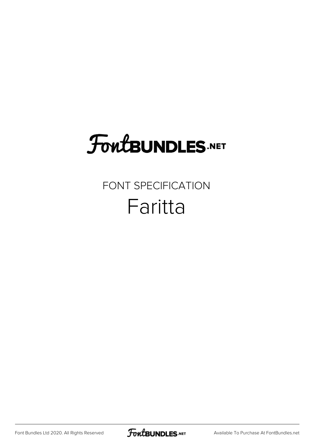## **FoutBUNDLES.NET**

## FONT SPECIFICATION Faritta

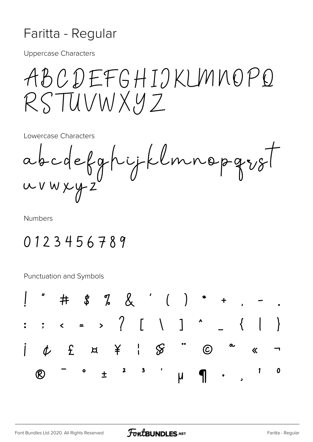## Faritta - Regular

**Uppercase Characters** 

ABCDEFGHIJKUMNOPQ RSTUVWXYZ

Lowercase Characters

abcdefghijklmnopgrof wuxyz

**Numbers** 

## 0123456789

**Punctuation and Symbols** 

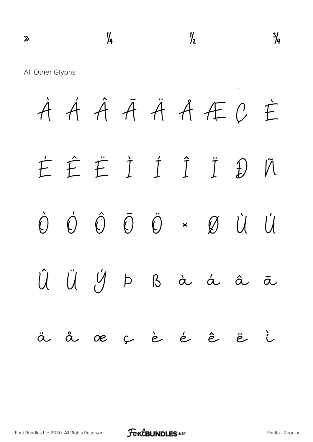$\frac{1}{4}$   $\frac{1}{2}$   $\frac{3}{4}$ All Other Glyphs À Á Â Ã Ä Å Æ Ç È É Ê Ë Ì Í Î Ï Ð Ñ Ò Ó Ô Õ Ö × Ø Ù Ú Û Ü Ý Þ ß à á â ã ä å æ ç è é ê ë ì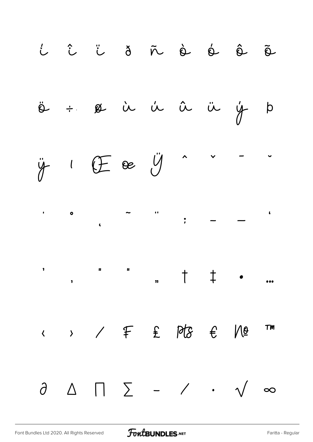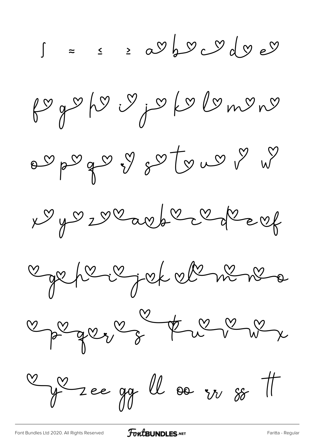$\int z \le 20060$ fogoho y jo kolomono agage y sotgway Ny vz vearbe check Carpe i jet el ni ne  $\frac{1}{2}$  and  $\frac{1}{2}$  and  $\frac{1}{2}$  $\frac{9}{\sqrt{2}}$  de gg ll oo in so t